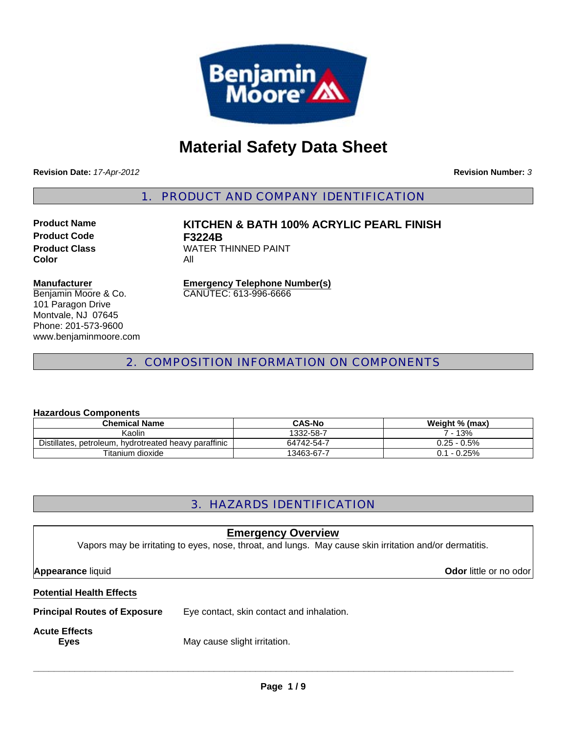

# **Material Safety Data Sheet**

**Revision Date:** *17-Apr-2012*

**Revision Number:** *3*

1. PRODUCT AND COMPANY IDENTIFICATION

**Product Code F3224B Color** All

**Product Name KITCHEN & BATH 100% ACRYLIC PEARL FINISH Product Class WATER THINNED PAINT** 

#### **Manufacturer**

Benjamin Moore & Co. 101 Paragon Drive Montvale, NJ 07645 Phone: 201-573-9600 www.benjaminmoore.com **Emergency Telephone Number(s)** CANUTEC: 613-996-6666

# 2. COMPOSITION INFORMATION ON COMPONENTS

#### **Hazardous Components**

| <b>Chemical Name</b>                                  | <b>CAS-No</b> | Weight % (max) |  |
|-------------------------------------------------------|---------------|----------------|--|
| Kaolin                                                | 1332-58-7     | 7 - 13%        |  |
| Distillates, petroleum, hydrotreated heavy paraffinic | 64742-54-7    | $0.25 - 0.5\%$ |  |
| Titanium dioxide                                      | 13463-67-7    | $0.1 - 0.25\%$ |  |

# 3. HAZARDS IDENTIFICATION

| <b>Emergency Overview</b><br>Vapors may be irritating to eyes, nose, throat, and lungs. May cause skin irritation and/or dermatitis. |                                           |  |  |
|--------------------------------------------------------------------------------------------------------------------------------------|-------------------------------------------|--|--|
| <b>Appearance liquid</b>                                                                                                             | <b>Odor</b> little or no odor             |  |  |
| <b>Potential Health Effects</b>                                                                                                      |                                           |  |  |
| <b>Principal Routes of Exposure</b>                                                                                                  | Eye contact, skin contact and inhalation. |  |  |
| <b>Acute Effects</b><br><b>Eyes</b>                                                                                                  | May cause slight irritation.              |  |  |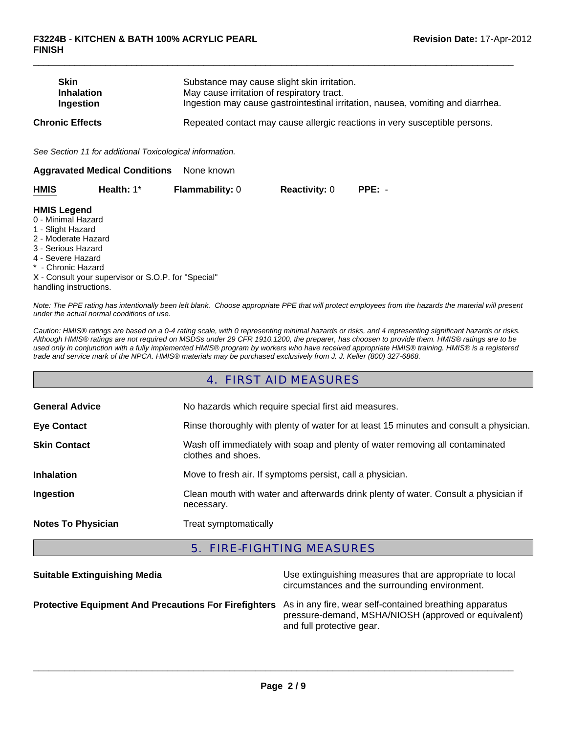| <b>Skin</b><br><b>Inhalation</b><br>Ingestion |                                                          | Substance may cause slight skin irritation.<br>May cause irritation of respiratory tract.<br>Ingestion may cause gastrointestinal irritation, nausea, vomiting and diarrhea. |                      |          |  |
|-----------------------------------------------|----------------------------------------------------------|------------------------------------------------------------------------------------------------------------------------------------------------------------------------------|----------------------|----------|--|
| <b>Chronic Effects</b>                        |                                                          | Repeated contact may cause allergic reactions in very susceptible persons.                                                                                                   |                      |          |  |
|                                               | See Section 11 for additional Toxicological information. |                                                                                                                                                                              |                      |          |  |
|                                               | <b>Aggravated Medical Conditions</b>                     | None known                                                                                                                                                                   |                      |          |  |
| <b>HMIS</b>                                   | Health: 1*                                               | <b>Flammability: 0</b>                                                                                                                                                       | <b>Reactivity: 0</b> | $PPE: -$ |  |
| <b>HMIS Legend</b><br>0 - Minimal Hazard      |                                                          |                                                                                                                                                                              |                      |          |  |

 $\Box$ 

#### 1 - Slight Hazard

- 2 Moderate Hazard
- 3 Serious Hazard
- 4 Severe Hazard
- \* Chronic Hazard

X - Consult your supervisor or S.O.P. for "Special" handling instructions.

*Note: The PPE rating has intentionally been left blank. Choose appropriate PPE that will protect employees from the hazards the material will present under the actual normal conditions of use.*

*Caution: HMIS® ratings are based on a 0-4 rating scale, with 0 representing minimal hazards or risks, and 4 representing significant hazards or risks. Although HMIS® ratings are not required on MSDSs under 29 CFR 1910.1200, the preparer, has choosen to provide them. HMIS® ratings are to be used only in conjunction with a fully implemented HMIS® program by workers who have received appropriate HMIS® training. HMIS® is a registered trade and service mark of the NPCA. HMIS® materials may be purchased exclusively from J. J. Keller (800) 327-6868.*

#### 4. FIRST AID MEASURES

| <b>General Advice</b>     | No hazards which require special first aid measures.                                               |  |  |
|---------------------------|----------------------------------------------------------------------------------------------------|--|--|
| <b>Eye Contact</b>        | Rinse thoroughly with plenty of water for at least 15 minutes and consult a physician.             |  |  |
| <b>Skin Contact</b>       | Wash off immediately with soap and plenty of water removing all contaminated<br>clothes and shoes. |  |  |
| <b>Inhalation</b>         | Move to fresh air. If symptoms persist, call a physician.                                          |  |  |
| Ingestion                 | Clean mouth with water and afterwards drink plenty of water. Consult a physician if<br>necessary.  |  |  |
| <b>Notes To Physician</b> | Treat symptomatically                                                                              |  |  |

#### 5. FIRE-FIGHTING MEASURES

| <b>Suitable Extinguishing Media</b>                                                                                  | Use extinguishing measures that are appropriate to local<br>circumstances and the surrounding environment. |
|----------------------------------------------------------------------------------------------------------------------|------------------------------------------------------------------------------------------------------------|
| <b>Protective Equipment And Precautions For Firefighters</b> As in any fire, wear self-contained breathing apparatus | pressure-demand, MSHA/NIOSH (approved or equivalent)<br>and full protective gear.                          |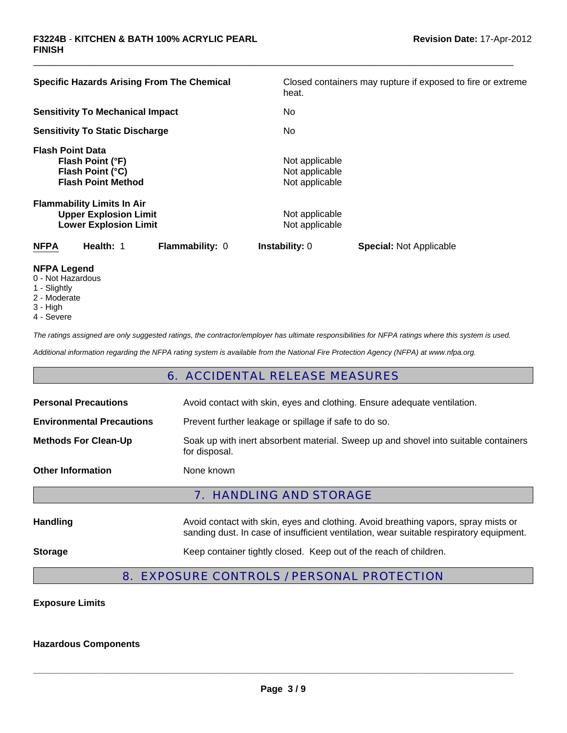| <b>Specific Hazards Arising From The Chemical</b>                                                 | Closed containers may rupture if exposed to fire or extreme |
|---------------------------------------------------------------------------------------------------|-------------------------------------------------------------|
|                                                                                                   | heat.                                                       |
| <b>Sensitivity To Mechanical Impact</b>                                                           | No.                                                         |
| <b>Sensitivity To Static Discharge</b>                                                            | No.                                                         |
| <b>Flash Point Data</b><br>Flash Point (°F)<br>Flash Point (°C)<br><b>Flash Point Method</b>      | Not applicable<br>Not applicable<br>Not applicable          |
| <b>Flammability Limits In Air</b><br><b>Upper Explosion Limit</b><br><b>Lower Explosion Limit</b> | Not applicable<br>Not applicable                            |
| Health: 1<br><b>NFPA</b><br><b>Flammability: 0</b>                                                | <b>Instability: 0</b><br><b>Special: Not Applicable</b>     |
| NFPA I agand                                                                                      |                                                             |

 $\Box$ 

- **NFPA Legend** 0 - Not Hazardous
- 1 Slightly
- 2 Moderate
- 
- 3 High
- 4 Severe

*The ratings assigned are only suggested ratings, the contractor/employer has ultimate responsibilities for NFPA ratings where this system is used.*

*Additional information regarding the NFPA rating system is available from the National Fire Protection Agency (NFPA) at www.nfpa.org.*

# 6. ACCIDENTAL RELEASE MEASURES

| <b>Personal Precautions</b>      | Avoid contact with skin, eyes and clothing. Ensure adequate ventilation.                                                                                                      |  |  |
|----------------------------------|-------------------------------------------------------------------------------------------------------------------------------------------------------------------------------|--|--|
| <b>Environmental Precautions</b> | Prevent further leakage or spillage if safe to do so.                                                                                                                         |  |  |
| <b>Methods For Clean-Up</b>      | Soak up with inert absorbent material. Sweep up and shovel into suitable containers<br>for disposal.                                                                          |  |  |
| <b>Other Information</b>         | None known                                                                                                                                                                    |  |  |
| <b>7. HANDLING AND STORAGE</b>   |                                                                                                                                                                               |  |  |
| <b>Handling</b>                  | Avoid contact with skin, eyes and clothing. Avoid breathing vapors, spray mists or<br>sanding dust. In case of insufficient ventilation, wear suitable respiratory equipment. |  |  |
|                                  |                                                                                                                                                                               |  |  |

# 8. EXPOSURE CONTROLS / PERSONAL PROTECTION

#### **Exposure Limits**

#### **Hazardous Components**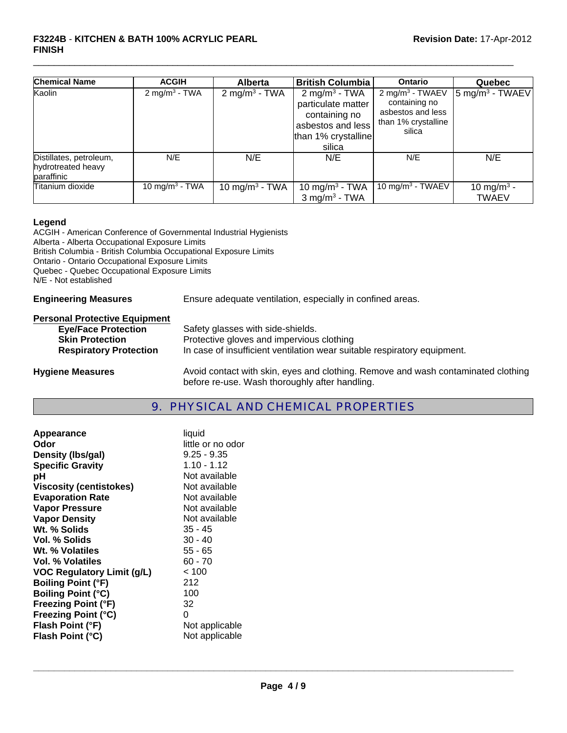#### **F3224B** - **KITCHEN & BATH 100% ACRYLIC PEARL FINISH**

| <b>Chemical Name</b>                                        | <b>ACGIH</b>               | <b>Alberta</b>             | <b>British Columbia</b>                                                                                                | Ontario                                                                                            | Quebec                                  |
|-------------------------------------------------------------|----------------------------|----------------------------|------------------------------------------------------------------------------------------------------------------------|----------------------------------------------------------------------------------------------------|-----------------------------------------|
| Kaolin                                                      | 2 mg/m <sup>3</sup> - TWA  | $2 \text{ mg/m}^3$ - TWA   | 2 mg/m <sup>3</sup> - TWA<br>particulate matter<br>containing no<br>asbestos and less<br>than 1% crystalline<br>silica | 2 mg/m <sup>3</sup> - TWAEV<br>containing no<br>asbestos and less<br>than 1% crystalline<br>silica | $\frac{1}{5}$ mg/m <sup>3</sup> - TWAEV |
| Distillates, petroleum,<br>hydrotreated heavy<br>paraffinic | N/E                        | N/E                        | N/E                                                                                                                    | N/E                                                                                                | N/E                                     |
| Titanium dioxide                                            | 10 mg/m <sup>3</sup> - TWA | 10 mg/m <sup>3</sup> - TWA | 10 mg/m <sup>3</sup> - TWA<br>$3$ mg/m <sup>3</sup> - TWA                                                              | 10 mg/m <sup>3</sup> - TWAEV                                                                       | 10 mg/m <sup>3</sup> -<br><b>TWAEV</b>  |

 $\Box$ 

#### **Legend**

ACGIH - American Conference of Governmental Industrial Hygienists Alberta - Alberta Occupational Exposure Limits British Columbia - British Columbia Occupational Exposure Limits Ontario - Ontario Occupational Exposure Limits Quebec - Quebec Occupational Exposure Limits N/E - Not established

**Engineering Measures** Ensure adequate ventilation, especially in confined areas.

#### **Personal Protective Equipment**

| <b>Eye/Face Protection</b>    | Safety glasses with side-shields.                                        |
|-------------------------------|--------------------------------------------------------------------------|
| <b>Skin Protection</b>        | Protective gloves and impervious clothing                                |
| <b>Respiratory Protection</b> | In case of insufficient ventilation wear suitable respiratory equipment. |
|                               |                                                                          |

**Hygiene Measures** Avoid contact with skin, eyes and clothing. Remove and wash contaminated clothing before re-use. Wash thoroughly after handling.

# 9. PHYSICAL AND CHEMICAL PROPERTIES

| Appearance                        | liquid            |
|-----------------------------------|-------------------|
| Odor                              | little or no odor |
| Density (Ibs/gal)                 | $9.25 - 9.35$     |
| <b>Specific Gravity</b>           | $1.10 - 1.12$     |
| рH                                | Not available     |
| Viscosity (centistokes)           | Not available     |
| <b>Evaporation Rate</b>           | Not available     |
| <b>Vapor Pressure</b>             | Not available     |
| <b>Vapor Density</b>              | Not available     |
| Wt. % Solids                      | 35 - 45           |
| Vol. % Solids                     | $30 - 40$         |
| Wt. % Volatiles                   | $55 - 65$         |
| Vol. % Volatiles                  | $60 - 70$         |
| <b>VOC Regulatory Limit (g/L)</b> | < 100             |
| <b>Boiling Point (°F)</b>         | 212               |
| <b>Boiling Point (°C)</b>         | 100               |
| <b>Freezing Point (°F)</b>        | 32                |
| Freezing Point (°C)               | 0                 |
| Flash Point (°F)                  | Not applicable    |
| Flash Point (°C)                  | Not applicable    |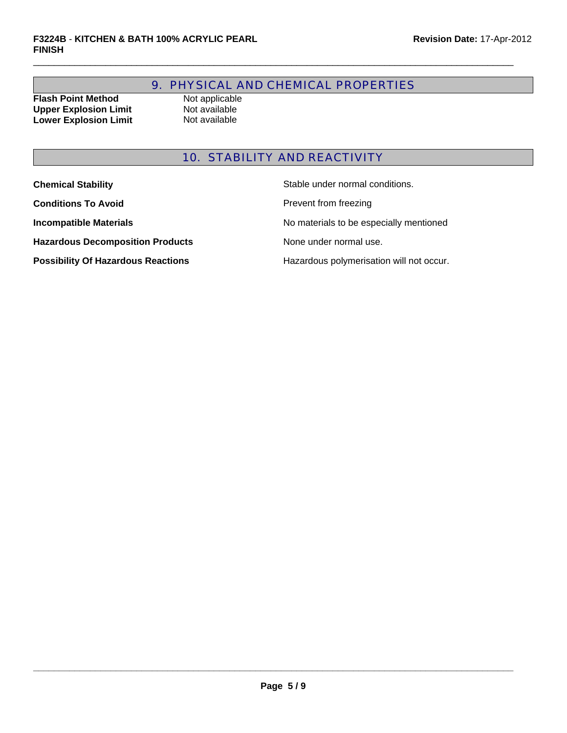# 9. PHYSICAL AND CHEMICAL PROPERTIES

 $\Box$ 

**Flash Point Method** Not applicable<br> **Upper Explosion Limit** Not available **Upper Explosion Limit** Not available<br> **Lower Explosion Limit** Not available **Lower Explosion Limit** 

# 10. STABILITY AND REACTIVITY

| <b>Chemical Stability</b>                 | Stable under normal conditions.          |
|-------------------------------------------|------------------------------------------|
| <b>Conditions To Avoid</b>                | Prevent from freezing                    |
| <b>Incompatible Materials</b>             | No materials to be especially mentioned  |
| <b>Hazardous Decomposition Products</b>   | None under normal use.                   |
| <b>Possibility Of Hazardous Reactions</b> | Hazardous polymerisation will not occur. |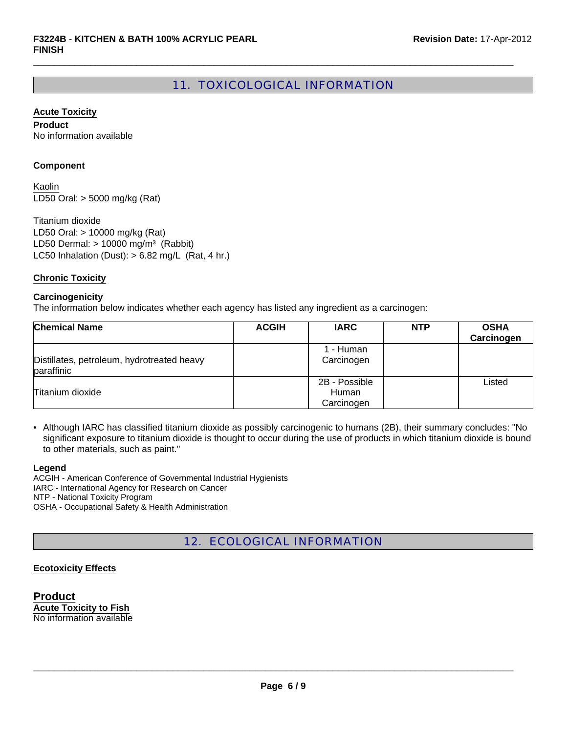# 11. TOXICOLOGICAL INFORMATION

 $\Box$ 

#### **Acute Toxicity**

**Product** No information available

#### **Component**

LD50 Oral: > 5000 mg/kg (Rat) Kaolin

LC50 Inhalation (Dust):  $> 6.82$  mg/L (Rat, 4 hr.) Titanium dioxide LD50 Oral: > 10000 mg/kg (Rat) LD50 Dermal:  $> 10000$  mg/m<sup>3</sup> (Rabbit)

#### **Chronic Toxicity**

#### **Carcinogenicity**

The information below indicates whether each agency has listed any ingredient as a carcinogen:

| <b>Chemical Name</b>                                     | <b>ACGIH</b> | <b>IARC</b>                          | <b>NTP</b> | <b>OSHA</b><br>Carcinogen |
|----------------------------------------------------------|--------------|--------------------------------------|------------|---------------------------|
| Distillates, petroleum, hydrotreated heavy<br>paraffinic |              | 1 - Human<br>Carcinogen              |            |                           |
| Titanium dioxide                                         |              | 2B - Possible<br>Human<br>Carcinogen |            | Listed                    |

• Although IARC has classified titanium dioxide as possibly carcinogenic to humans (2B), their summary concludes: "No significant exposure to titanium dioxide is thought to occur during the use of products in which titanium dioxide is bound to other materials, such as paint."

#### **Legend**

ACGIH - American Conference of Governmental Industrial Hygienists IARC - International Agency for Research on Cancer NTP - National Toxicity Program OSHA - Occupational Safety & Health Administration

12. ECOLOGICAL INFORMATION

#### **Ecotoxicity Effects**

**Product Acute Toxicity to Fish** No information available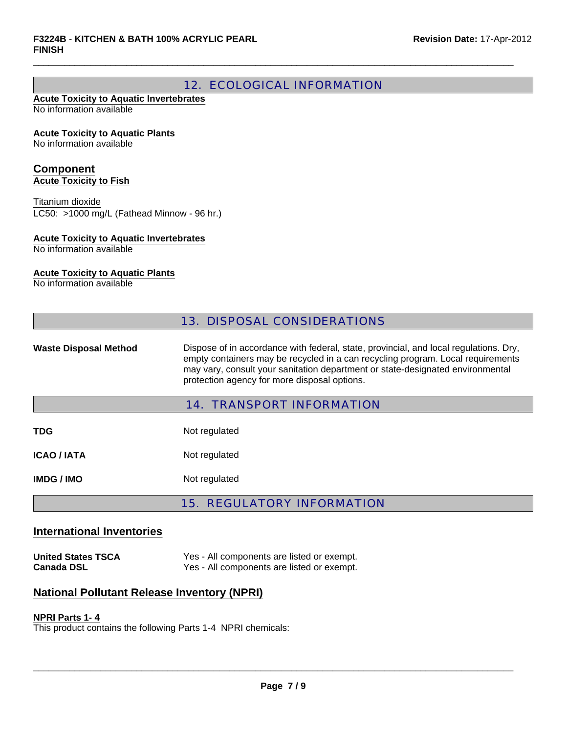# 12. ECOLOGICAL INFORMATION

 $\Box$ 

#### **Acute Toxicity to Aquatic Invertebrates** No information available

**Acute Toxicity to Aquatic Plants**

No information available

#### **Component Acute Toxicity to Fish**

LC50: >1000 mg/L (Fathead Minnow - 96 hr.) Titanium dioxide

#### **Acute Toxicity to Aquatic Invertebrates**

No information available

#### **Acute Toxicity to Aquatic Plants**

No information available

|                              | <b>13. DISPOSAL CONSIDERATIONS</b>                                                                                                                                                                                                                                                                         |
|------------------------------|------------------------------------------------------------------------------------------------------------------------------------------------------------------------------------------------------------------------------------------------------------------------------------------------------------|
| <b>Waste Disposal Method</b> | Dispose of in accordance with federal, state, provincial, and local regulations. Dry,<br>empty containers may be recycled in a can recycling program. Local requirements<br>may vary, consult your sanitation department or state-designated environmental<br>protection agency for more disposal options. |
|                              | <b>14. TRANSPORT INFORMATION</b>                                                                                                                                                                                                                                                                           |
| <b>TDG</b>                   | Not regulated                                                                                                                                                                                                                                                                                              |
| <b>ICAO / IATA</b>           | Not regulated                                                                                                                                                                                                                                                                                              |
| <b>IMDG/IMO</b>              | Not regulated                                                                                                                                                                                                                                                                                              |

## 15. REGULATORY INFORMATION

### **International Inventories**

**United States TSCA** Yes - All components are listed or exempt. **Canada DSL** Yes - All components are listed or exempt.

# **National Pollutant Release Inventory (NPRI)**

#### **NPRI Parts 1- 4**

This product contains the following Parts 1-4 NPRI chemicals: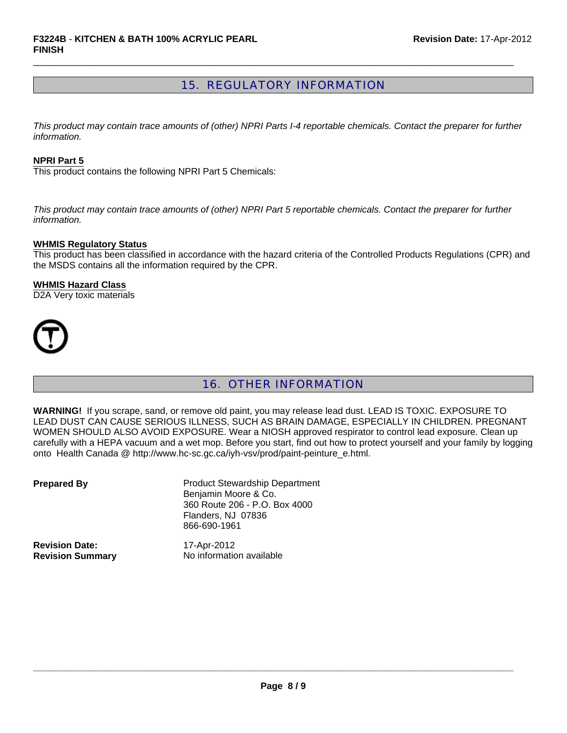# 15. REGULATORY INFORMATION

 $\Box$ 

*This product may contain trace amounts of (other) NPRI Parts I-4 reportable chemicals. Contact the preparer for further information.*

#### **NPRI Part 5**

This product contains the following NPRI Part 5 Chemicals:

*This product may contain trace amounts of (other) NPRI Part 5 reportable chemicals. Contact the preparer for further information.*

#### **WHMIS Regulatory Status**

This product has been classified in accordance with the hazard criteria of the Controlled Products Regulations (CPR) and the MSDS contains all the information required by the CPR.

#### **WHMIS Hazard Class**

D2A Very toxic materials



# 16. OTHER INFORMATION

**WARNING!** If you scrape, sand, or remove old paint, you may release lead dust. LEAD IS TOXIC. EXPOSURE TO LEAD DUST CAN CAUSE SERIOUS ILLNESS, SUCH AS BRAIN DAMAGE, ESPECIALLY IN CHILDREN. PREGNANT WOMEN SHOULD ALSO AVOID EXPOSURE. Wear a NIOSH approved respirator to control lead exposure. Clean up carefully with a HEPA vacuum and a wet mop. Before you start, find out how to protect yourself and your family by logging onto Health Canada @ http://www.hc-sc.gc.ca/iyh-vsv/prod/paint-peinture\_e.html.

| <b>Prepared By</b>      | <b>Product Stewardship Department</b><br>Benjamin Moore & Co.<br>360 Route 206 - P.O. Box 4000<br>Flanders, NJ 07836<br>866-690-1961 |
|-------------------------|--------------------------------------------------------------------------------------------------------------------------------------|
| <b>Revision Date:</b>   | 17-Apr-2012                                                                                                                          |
| <b>Revision Summary</b> | No information available                                                                                                             |